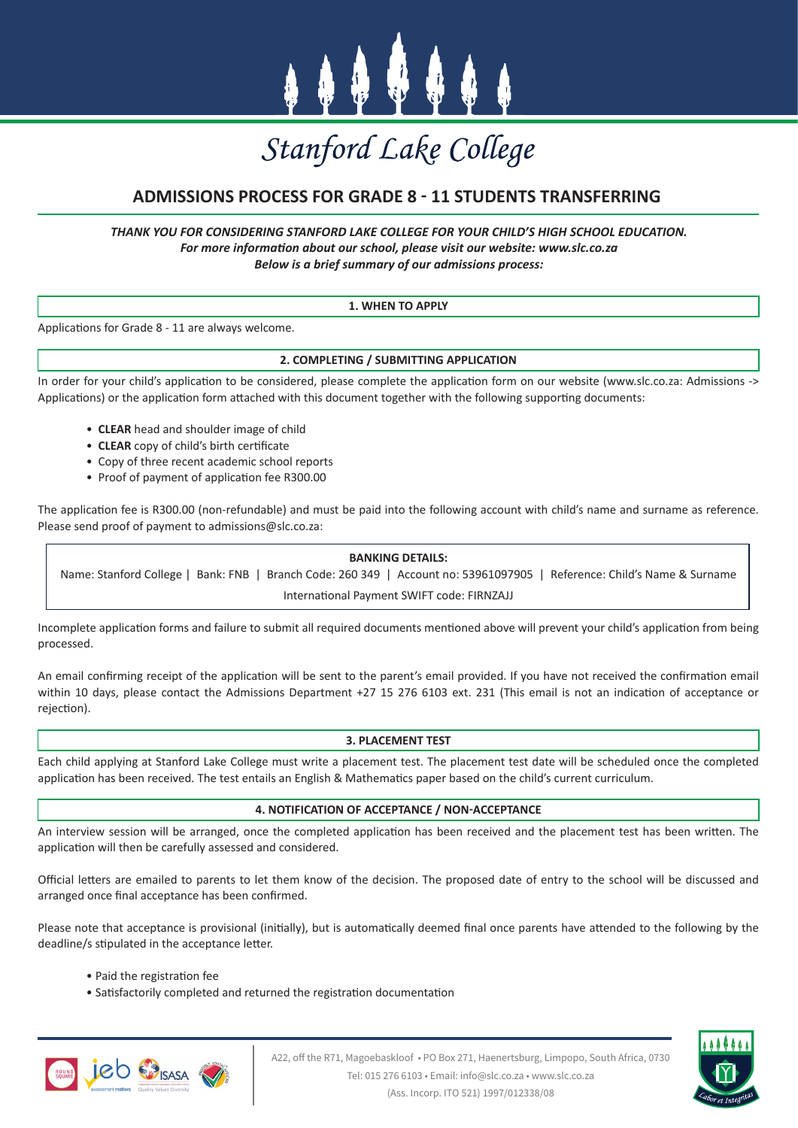

# Stanford Lake College

# **ADMISSIONS PROCESS FOR GRADE 8 - 11 STUDENTS TRANSFERRING**

*THANK YOU FOR CONSIDERING STANFORD LAKE COLLEGE FOR YOUR CHILD'S HIGH SCHOOL EDUCATION. For more information about our school, please visit our website: www.slc.co.za Below is a brief summary of our admissions process:*

# **1. WHEN TO APPLY**

Applications for Grade 8 - 11 are always welcome.

# **2. COMPLETING / SUBMITTING APPLICATION**

In order for your child's application to be considered, please complete the application form on our website (www.slc.co.za: Admissions -> Applications) or the application form attached with this document together with the following supporting documents:

- **CLEAR** head and shoulder image of child
- **CLEAR** copy of child's birth certificate
- Copy of three recent academic school reports
- Proof of payment of application fee R300.00

The application fee is R300.00 (non-refundable) and must be paid into the following account with child's name and surname as reference. Please send proof of payment to admissions@slc.co.za:

### **BANKING DETAILS:**

Name: Stanford College | Bank: FNB | Branch Code: 260 349 | Account no: 53961097905 | Reference: Child's Name & Surname International Payment SWIFT code: FIRNZAJJ

Incomplete application forms and failure to submit all required documents mentioned above will prevent your child's application from being processed.

An email confirming receipt of the application will be sent to the parent's email provided. If you have not received the confirmation email within 10 days, please contact the Admissions Department +27 15 276 6103 ext. 231 (This email is not an indication of acceptance or rejection).

### **3. PLACEMENT TEST**

Each child applying at Stanford Lake College must write a placement test. The placement test date will be scheduled once the completed application has been received. The test entails an English & Mathematics paper based on the child's current curriculum.

### **4. NOTIFICATION OF ACCEPTANCE / NON-ACCEPTANCE**

An interview session will be arranged, once the completed application has been received and the placement test has been written. The application will then be carefully assessed and considered.

Official letters are emailed to parents to let them know of the decision. The proposed date of entry to the school will be discussed and arranged once final acceptance has been confirmed.

Please note that acceptance is provisional (initially), but is automatically deemed final once parents have attended to the following by the deadline/s stipulated in the acceptance letter.

- Paid the registration fee
- Satisfactorily completed and returned the registration documentation





A22, off the R71, Magoebaskloof • PO Box 271, Haenertsburg, Limpopo, South Africa, 0730 Tel: 015 276 6103 • Email: info@slc.co.za • www.slc.co.za (Ass. Incorp. ITO 521) 1997/012338/08